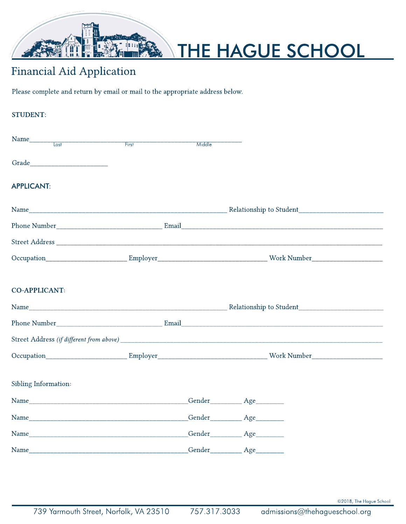

# THE HAGUE SCHOOL

## Financial Aid Application

Please complete and return by email or mail to the appropriate address below.

| <b>STUDENT:</b>                                                                                                                                                                                                               |  |        |                                       |  |
|-------------------------------------------------------------------------------------------------------------------------------------------------------------------------------------------------------------------------------|--|--------|---------------------------------------|--|
|                                                                                                                                                                                                                               |  | Middle |                                       |  |
| Grade and the state of the state of the state of the state of the state of the state of the state of the state of the state of the state of the state of the state of the state of the state of the state of the state of the |  |        |                                       |  |
| <b>APPLICANT:</b>                                                                                                                                                                                                             |  |        |                                       |  |
|                                                                                                                                                                                                                               |  |        |                                       |  |
|                                                                                                                                                                                                                               |  |        |                                       |  |
|                                                                                                                                                                                                                               |  |        |                                       |  |
|                                                                                                                                                                                                                               |  |        |                                       |  |
|                                                                                                                                                                                                                               |  |        |                                       |  |
| <b>CO-APPLICANT:</b>                                                                                                                                                                                                          |  |        |                                       |  |
|                                                                                                                                                                                                                               |  |        |                                       |  |
|                                                                                                                                                                                                                               |  |        |                                       |  |
|                                                                                                                                                                                                                               |  |        |                                       |  |
|                                                                                                                                                                                                                               |  |        |                                       |  |
|                                                                                                                                                                                                                               |  |        |                                       |  |
| Sibling Information:                                                                                                                                                                                                          |  |        |                                       |  |
|                                                                                                                                                                                                                               |  |        |                                       |  |
|                                                                                                                                                                                                                               |  |        |                                       |  |
|                                                                                                                                                                                                                               |  |        | Gender <u>_________</u> Age _________ |  |
|                                                                                                                                                                                                                               |  |        |                                       |  |

©2018, The Hague School